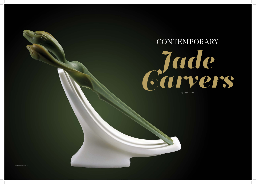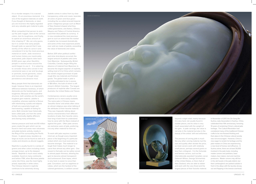It is a murder weapon; it is a sacred object. It's an enormous memorial. It is one of the toughest materials on earth. If you thought of diamonds, or steel, you are incorrect; this highly regarded and very valuable gem material is jade.

What compelled that person to pick up the jade nugget, look at the various colors, test its toughness, and finally, to spend an enormous amount of time shaping it? We can only guess, but it is certain that early people thought jade so special that it was worthy of the effort to carve it and considered it to be the most precious material on earth. Jade reverence and human history are inextricably associated; jade objects date back 8,000 years ago when Neolithic people in several areas around the world began to use it. It is sobering to consider those who carved it into ceremonial axes or ear and lip plugs or portraits, burial garments, vases and monuments, through sheer persistence and abrasive mud.

Many people think that diamonds are tough, however there is an important difference between hardness, of which diamonds are the hardest gems, and toughness. Because of the crystalline structure, both varieties are the world's toughest gem material. Jadeite is crystalline, whereas nephrite is fibrous with interlocking crystals and objects of both are supremely tough and hard-wearing, capable of lasting for eons. Both minerals have historically been called jade, are from the same family, chemically slightly different, and sharing many similarities.

Intense pressure and heat and 60 million years create this gem which can be found in hard rock areas near volcanoes and plate tectonic activity, mostly in the Ring of Fire surrounding the Pacific Ocean. In glacial areas, boulders as large as trucks can be found as well as in creeks and streams as alluvial nuggets.

Nephrite is usually found in a variety of greens and other colors including cream, orangey brown, up to the deepest blacks. Nephrite is much more widely available, found on many continents and before 1784, when Burmese jadeite came into China, was the most highly prized, especially in white colors. The Chinese interest in nephrite continues to be extremely strong.

Jadeite comes in colors from icy clear transparency, white and cream, lavender, all colors of green and blue green including the so-called emerald Imperial green. Indigenous groups such as Maori of New Zealand shaped what they called greenstone, and Aztecs, Olmecs, Mayans and Toltecs of Central America used their blue jadeite as currency. It is now considered the most precious gem to such an extent that the market in jadeite has increased dramatically and some of the most expensive jewels ever sold are made of jadeite, exceeding the value of diamonds and rubies.

Before 2011 when political conflict and mine shut-downs occurred, the largest amount of jadeite sold came from Myanmar. Subsequently, British Columbia, Canada, began filling the absence of material from Myanmar, to become the largest exporter of nephrite, selling most of it to China which remains the world's largest purchaser of jade rough (the raw material) and finished goods. The global trade in jade is currently estimated to be in excess of \$8 billion, the bulk of which is still mined in British Columbia. The largest producers of nephrite after Canada are Australia, the United States and Taiwan.

Contemporary carvers usually carve nephrite as it is more easily available. The name jade in Chinese means 'beautiful stone' and artists often voice an almost religious awe when talking of the attributes of their favorite material. They wax rhapsodic talking about various characteristics from different locations of jade, their favorite colors, how long it took them to understand how to carve with the fibers instead of against the grain. Often jade carvers are exclusive users of jade, preferring it to any other material for their art.

To work with jade requires a certain mind set, as though every important piece is the beginning of a particular ordeal which one must overcome to become stronger. The material is so tough that it takes much longer to carve than almost any other gem. One reward is that jade can be safely carved to almost paper thinness, allowing the gem to become almost transparent and luminescent. Even topaz, which is very hard, is easier to carve than jade. Corundum, such as sapphires or rubies, which are the hardest of the colored gemstones, is seldom carved

beyond a slight relief, mainly because it is very hard, not usually found in sizable pieces, and its value is very much associated with the weight of the gem. In jade carvings, the value is not only in the material but also in the beauty of the artists' skill and artfulness.

The process of carving jade is much like any other carving material, but the size and quality often dictate the price, so most carvers work with relatively small pieces, perhaps several grams or less than a kilogram. It is the fortunate and famous carvers, such as the internationally awarded Canadian carver Deborah Wilson, George Schmerholz of the United States, or Donn Salt of New Zealand, who are able to obtain and work with the very finest and the largest pieces of their favorite material.

In November of 2017, the Zie Gang Bei Suzhou Jade Association in Suzhou. China, celebrated their 10th anniversary, honoring 10 years of reclaiming China's cultural jade heritage. The Cultural Revolution had considered many of the traditional Chinese crafts to be non-forward thinking and their place in the Chinese cultural society was not encouraged. However, China is now eager to reclaim its heritage and the jade masters in China are experiencing a new level of honour and affluence. In Suzhou alone, there are at least 30,000 involved in the jade trade, including master carvers and polishers, base makers, box makers, tool and machine producers. Master carvers may still live in the old hovels in the jade district, but their Lamborghini's are parked outside in front in the alleys with the laundry strung out and flapping in the breeze overhead.





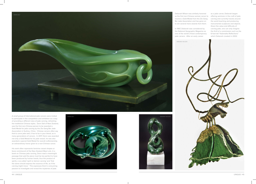

A small group of International jade carvers were invited to participate in the competition and exhibition as a way of providing a different view of jade carving, refreshing the traditional Chinese styles. Donn Salt of New Zealand, was the first non-Chinese person to be awarded a Gold Medal for jade carving by the Zie Gang Bei Jade Association in Suzhou, China. Chinese carvers often say that to carve jade well, it has to be in your blood, as in many generations of carvers. In 2017, Donn was awarded not only a Gold Medal for his jade vessel, he was also awarded a special Gold Medal for overall craftsmanship, an extraordinary honor given to a non-Chinese carver.

His work often represents feminine vessel shapes or faces reminiscent of the New Zealand Maori arts. In a book on Chinese jade carving, Donn read a meaningful passage that said the piece must be too perfect to have been produced by human hands, thus the product of spirits, a so-called 'spirit or demon carving' and 'that the stone should express the essence of life, as if the carving might move.' This expresses Donn's consuming passion to investigate and reveal the mysteries of jade.







Deborah Wilson was similarly honored receive a Gold Medal from the Zie Gang Bei Jade Association and has gone on to win several more awards from them.

In 1987, Deborah was considered by the National Geographic Magazine as one of the world's finest contemporary jade carvers. After an early career

as the first non-Chinese woman carver to offering seminars in the craft of jade as a jade carver, Deborah began carving and currently travels around the world teaching and producing monumental sculptures and objects. Given the value and difficulty of carving jade, one can only imagine the thrill of a commission such as the 6-foot tall "Kalamalka Reflections" which Deborah created in 2002.